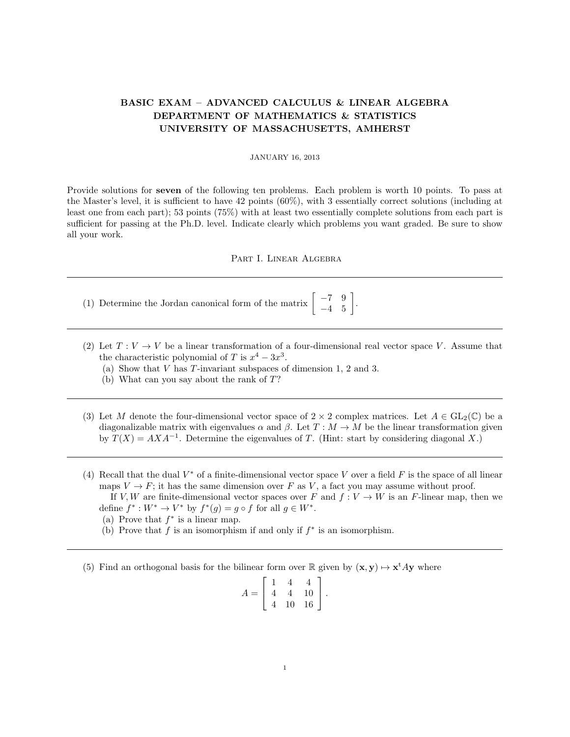## BASIC EXAM – ADVANCED CALCULUS & LINEAR ALGEBRA DEPARTMENT OF MATHEMATICS & STATISTICS UNIVERSITY OF MASSACHUSETTS, AMHERST

## JANUARY 16, 2013

Provide solutions for seven of the following ten problems. Each problem is worth 10 points. To pass at the Master's level, it is sufficient to have 42 points (60%), with 3 essentially correct solutions (including at least one from each part); 53 points (75%) with at least two essentially complete solutions from each part is sufficient for passing at the Ph.D. level. Indicate clearly which problems you want graded. Be sure to show all your work.

## Part I. Linear Algebra

- (1) Determine the Jordan canonical form of the matrix  $\begin{bmatrix} -7 & 9 \\ -4 & 5 \end{bmatrix}$ .
- (2) Let  $T: V \to V$  be a linear transformation of a four-dimensional real vector space V. Assume that the characteristic polynomial of T is  $x^4 - 3x^3$ .
	- (a) Show that V has T-invariant subspaces of dimension 1, 2 and 3.
	- (b) What can you say about the rank of T?
- (3) Let M denote the four-dimensional vector space of  $2 \times 2$  complex matrices. Let  $A \in GL_2(\mathbb{C})$  be a diagonalizable matrix with eigenvalues  $\alpha$  and  $\beta$ . Let  $T : M \to M$  be the linear transformation given by  $T(X) = AXA^{-1}$ . Determine the eigenvalues of T. (Hint: start by considering diagonal X.)
- (4) Recall that the dual  $V^*$  of a finite-dimensional vector space V over a field F is the space of all linear maps  $V \to F$ ; it has the same dimension over F as V, a fact you may assume without proof.

If V, W are finite-dimensional vector spaces over F and  $f: V \to W$  is an F-linear map, then we define  $f^*: W^* \to V^*$  by  $f^*(g) = g \circ f$  for all  $g \in W^*$ .

- (a) Prove that  $f^*$  is a linear map.
- (b) Prove that  $f$  is an isomorphism if and only if  $f^*$  is an isomorphism.
- (5) Find an orthogonal basis for the bilinear form over R given by  $(x, y) \mapsto x^t A y$  where

$$
A = \left[ \begin{array}{rrr} 1 & 4 & 4 \\ 4 & 4 & 10 \\ 4 & 10 & 16 \end{array} \right].
$$